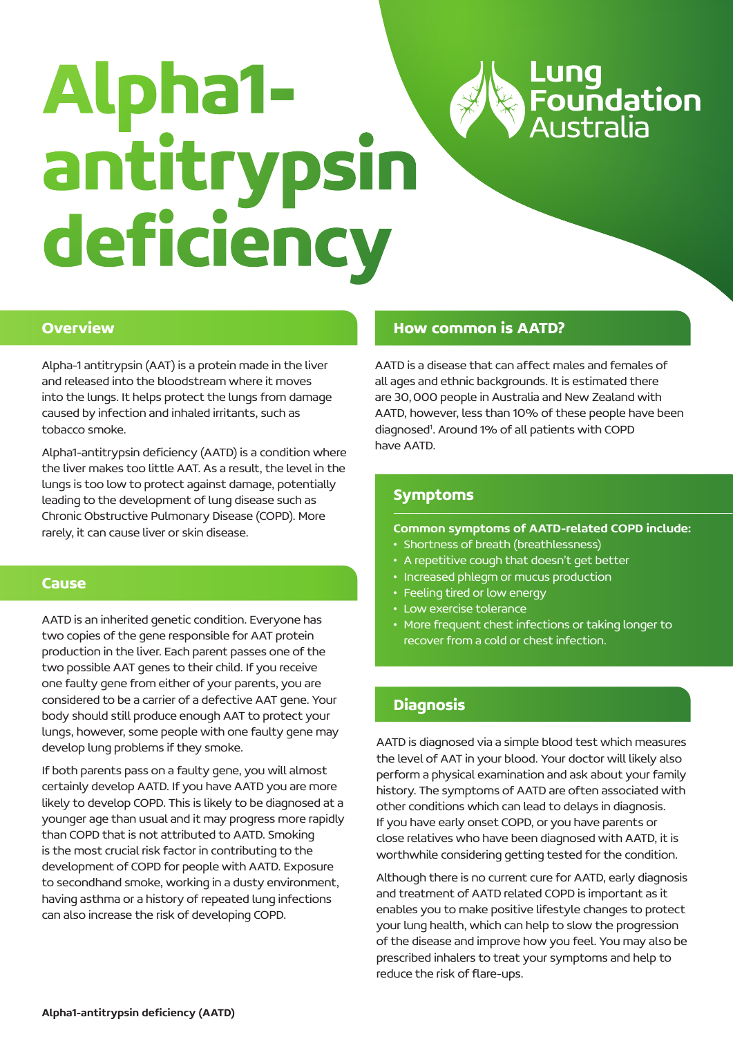

# **Alpha1 antitrypsin deficiency**

## **Overview**

Alpha-1 antitrypsin (AAT) is a protein made in the liver and released into the bloodstream where it moves into the lungs. It helps protect the lungs from damage caused by infection and inhaled irritants, such as tobacco smoke.

Alpha1-antitrypsin deficiency (AATD) is a condition where the liver makes too little AAT. As a result, the level in the lungs is too low to protect against damage, potentially leading to the development of lung disease such as Chronic Obstructive Pulmonary Disease (COPD). More rarely, it can cause liver or skin disease.

# **Cause**

AATD is an inherited genetic condition. Everyone has two copies of the gene responsible for AAT protein production in the liver. Each parent passes one of the two possible AAT genes to their child. If you receive one faulty gene from either of your parents, you are considered to be a carrier of a defective AAT gene. Your body should still produce enough AAT to protect your lungs, however, some people with one faulty gene may develop lung problems if they smoke.

If both parents pass on a faulty gene, you will almost certainly develop AATD. If you have AATD you are more likely to develop COPD. This is likely to be diagnosed at a younger age than usual and it may progress more rapidly than COPD that is not attributed to AATD. Smoking is the most crucial risk factor in contributing to the development of COPD for people with AATD. Exposure to secondhand smoke, working in a dusty environment, having asthma or a history of repeated lung infections can also increase the risk of developing COPD.

# **How common is AATD?**

AATD is a disease that can affect males and females of all ages and ethnic backgrounds. It is estimated there are 30,000 people in Australia and New Zealand with AATD, however, less than 10% of these people have been diagnosed<sup>1</sup>. Around 1% of all patients with COPD have AATD.

# **Symptoms**

## Common symptoms of AATD-related COPD include:

- Shortness of breath (breathlessness)
- A repetitive cough that doesn't get better
- Increased phlegm or mucus production
- Feeling tired or low energy
- Low exercise tolerance
- More frequent chest infections or taking longer to recover from a cold or chest infection.

# **Diagnosis**

AATD is diagnosed via a simple blood test which measures the level of AAT in your blood. Your doctor will likely also perform a physical examination and ask about your family history. The symptoms of AATD are often associated with other conditions which can lead to delays in diagnosis. If you have early onset COPD, or you have parents or close relatives who have been diagnosed with AATD, it is worthwhile considering getting tested for the condition.

Although there is no current cure for AATD, early diagnosis and treatment of AATD related COPD is important as it enables you to make positive lifestyle changes to protect your lung health, which can help to slow the progression of the disease and improve how you feel. You may also be prescribed inhalers to treat your symptoms and help to reduce the risk of flare-ups.